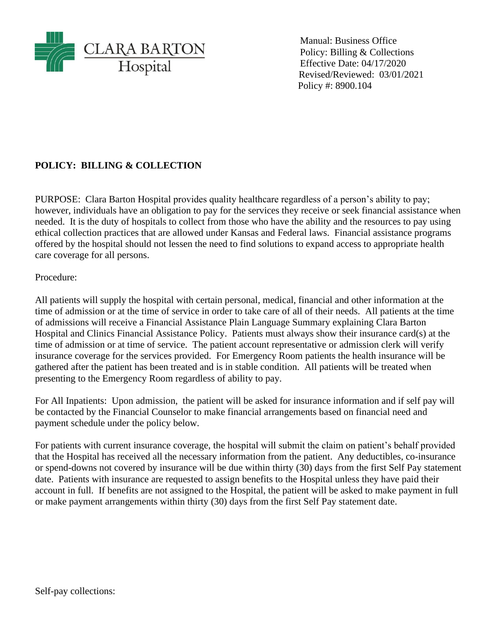

Manual: Business Office Policy: Billing & Collections Effective Date: 04/17/2020 Revised/Reviewed: 03/01/2021 Policy #: 8900.104

## **POLICY: BILLING & COLLECTION**

PURPOSE: Clara Barton Hospital provides quality healthcare regardless of a person's ability to pay; however, individuals have an obligation to pay for the services they receive or seek financial assistance when needed. It is the duty of hospitals to collect from those who have the ability and the resources to pay using ethical collection practices that are allowed under Kansas and Federal laws. Financial assistance programs offered by the hospital should not lessen the need to find solutions to expand access to appropriate health care coverage for all persons.

Procedure:

All patients will supply the hospital with certain personal, medical, financial and other information at the time of admission or at the time of service in order to take care of all of their needs. All patients at the time of admissions will receive a Financial Assistance Plain Language Summary explaining Clara Barton Hospital and Clinics Financial Assistance Policy. Patients must always show their insurance card(s) at the time of admission or at time of service. The patient account representative or admission clerk will verify insurance coverage for the services provided. For Emergency Room patients the health insurance will be gathered after the patient has been treated and is in stable condition. All patients will be treated when presenting to the Emergency Room regardless of ability to pay.

For All Inpatients: Upon admission, the patient will be asked for insurance information and if self pay will be contacted by the Financial Counselor to make financial arrangements based on financial need and payment schedule under the policy below.

For patients with current insurance coverage, the hospital will submit the claim on patient's behalf provided that the Hospital has received all the necessary information from the patient. Any deductibles, co-insurance or spend-downs not covered by insurance will be due within thirty (30) days from the first Self Pay statement date. Patients with insurance are requested to assign benefits to the Hospital unless they have paid their account in full. If benefits are not assigned to the Hospital, the patient will be asked to make payment in full or make payment arrangements within thirty (30) days from the first Self Pay statement date.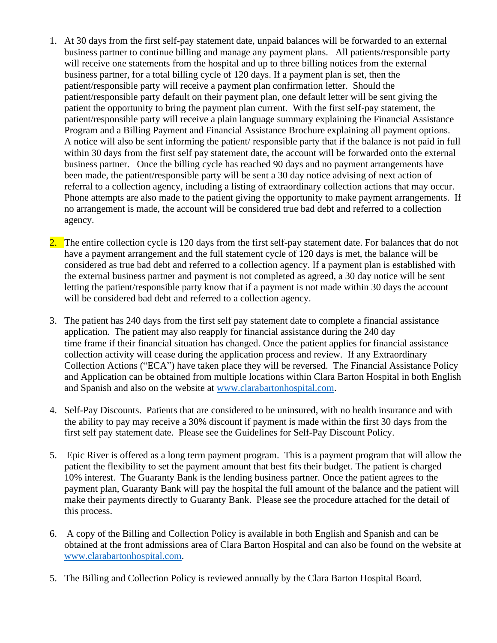- 1. At 30 days from the first self-pay statement date, unpaid balances will be forwarded to an external business partner to continue billing and manage any payment plans. All patients/responsible party will receive one statements from the hospital and up to three billing notices from the external business partner, for a total billing cycle of 120 days. If a payment plan is set, then the patient/responsible party will receive a payment plan confirmation letter. Should the patient/responsible party default on their payment plan, one default letter will be sent giving the patient the opportunity to bring the payment plan current. With the first self-pay statement, the patient/responsible party will receive a plain language summary explaining the Financial Assistance Program and a Billing Payment and Financial Assistance Brochure explaining all payment options. A notice will also be sent informing the patient/ responsible party that if the balance is not paid in full within 30 days from the first self pay statement date, the account will be forwarded onto the external business partner. Once the billing cycle has reached 90 days and no payment arrangements have been made, the patient/responsible party will be sent a 30 day notice advising of next action of referral to a collection agency, including a listing of extraordinary collection actions that may occur. Phone attempts are also made to the patient giving the opportunity to make payment arrangements. If no arrangement is made, the account will be considered true bad debt and referred to a collection agency.
- 2. The entire collection cycle is 120 days from the first self-pay statement date. For balances that do not have a payment arrangement and the full statement cycle of 120 days is met, the balance will be considered as true bad debt and referred to a collection agency. If a payment plan is established with the external business partner and payment is not completed as agreed, a 30 day notice will be sent letting the patient/responsible party know that if a payment is not made within 30 days the account will be considered bad debt and referred to a collection agency.
- 3. The patient has 240 days from the first self pay statement date to complete a financial assistance application. The patient may also reapply for financial assistance during the 240 day time frame if their financial situation has changed. Once the patient applies for financial assistance collection activity will cease during the application process and review. If any Extraordinary Collection Actions ("ECA") have taken place they will be reversed. The Financial Assistance Policy and Application can be obtained from multiple locations within Clara Barton Hospital in both English and Spanish and also on the website at [www.clarabartonhospital.com.](http://www.clarabartonhospital.com/)
- 4. Self-Pay Discounts. Patients that are considered to be uninsured, with no health insurance and with the ability to pay may receive a 30% discount if payment is made within the first 30 days from the first self pay statement date. Please see the Guidelines for Self-Pay Discount Policy.
- 5. Epic River is offered as a long term payment program. This is a payment program that will allow the patient the flexibility to set the payment amount that best fits their budget. The patient is charged 10% interest. The Guaranty Bank is the lending business partner. Once the patient agrees to the payment plan, Guaranty Bank will pay the hospital the full amount of the balance and the patient will make their payments directly to Guaranty Bank. Please see the procedure attached for the detail of this process.
- 6. A copy of the Billing and Collection Policy is available in both English and Spanish and can be obtained at the front admissions area of Clara Barton Hospital and can also be found on the website at [www.clarabartonhospital.com.](http://www.clarabartonhospital.com/)
- 5. The Billing and Collection Policy is reviewed annually by the Clara Barton Hospital Board.